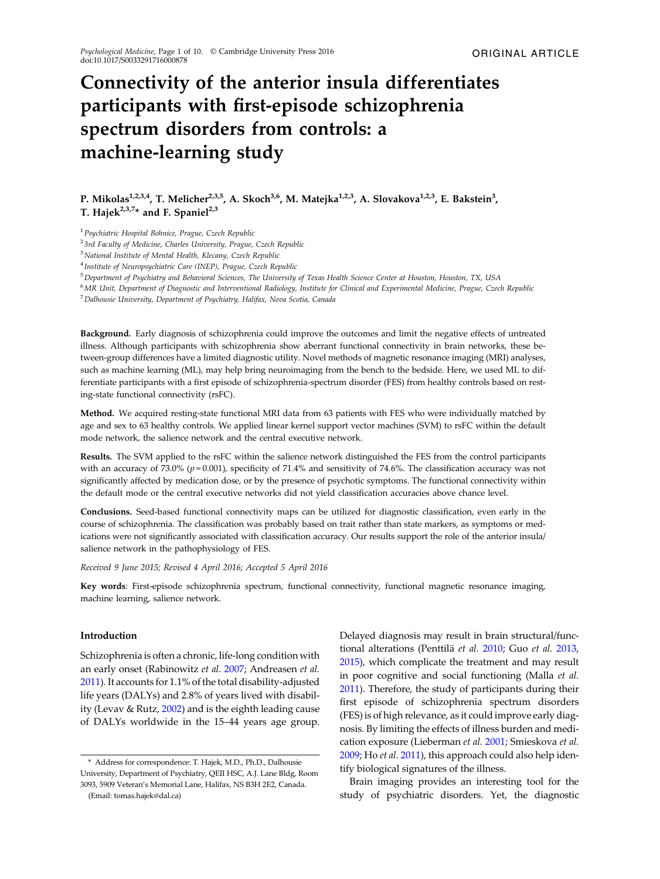# Connectivity of the anterior insula differentiates participants with first-episode schizophrenia spectrum disorders from controls: a machine-learning study

P. Mikolas<sup>1,2,3,4</sup>, T. Melicher<sup>2,3,5</sup>, A. Skoch<sup>3,6</sup>, M. Matejka<sup>1,2,3</sup>, A. Slovakova<sup>1,2,3</sup>, E. Bakstein<sup>3</sup>, T. Haje $k^{2,3,7*}$  and F. Spaniel<sup>2,3</sup>

<sup>1</sup>Psychiatric Hospital Bohnice, Prague, Czech Republic

<sup>2</sup>3rd Faculty of Medicine, Charles University, Prague, Czech Republic

<sup>3</sup>National Institute of Mental Health, Klecany, Czech Republic

<sup>4</sup> Institute of Neuropsychiatric Care (INEP), Prague, Czech Republic

<sup>5</sup>Department of Psychiatry and Behavioral Sciences, The University of Texas Health Science Center at Houston, Houston, TX, USA

<sup>6</sup>MR Unit, Department of Diagnostic and Interventional Radiology, Institute for Clinical and Experimental Medicine, Prague, Czech Republic

<sup>7</sup>Dalhousie University, Department of Psychiatry, Halifax, Nova Scotia, Canada

Background. Early diagnosis of schizophrenia could improve the outcomes and limit the negative effects of untreated illness. Although participants with schizophrenia show aberrant functional connectivity in brain networks, these between-group differences have a limited diagnostic utility. Novel methods of magnetic resonance imaging (MRI) analyses, such as machine learning (ML), may help bring neuroimaging from the bench to the bedside. Here, we used ML to differentiate participants with a first episode of schizophrenia-spectrum disorder (FES) from healthy controls based on resting-state functional connectivity (rsFC).

Method. We acquired resting-state functional MRI data from 63 patients with FES who were individually matched by age and sex to 63 healthy controls. We applied linear kernel support vector machines (SVM) to rsFC within the default mode network, the salience network and the central executive network.

Results. The SVM applied to the rsFC within the salience network distinguished the FES from the control participants with an accuracy of 73.0% ( $p = 0.001$ ), specificity of 71.4% and sensitivity of 74.6%. The classification accuracy was not significantly affected by medication dose, or by the presence of psychotic symptoms. The functional connectivity within the default mode or the central executive networks did not yield classification accuracies above chance level.

Conclusions. Seed-based functional connectivity maps can be utilized for diagnostic classification, even early in the course of schizophrenia. The classification was probably based on trait rather than state markers, as symptoms or medications were not significantly associated with classification accuracy. Our results support the role of the anterior insula/ salience network in the pathophysiology of FES.

Received 9 June 2015; Revised 4 April 2016; Accepted 5 April 2016

Key words: First-episode schizophrenia spectrum, functional connectivity, functional magnetic resonance imaging, machine learning, salience network.

# Introduction

Schizophrenia is often a chronic, life-long condition with an early onset (Rabinowitz et al. [2007](#page-8-0); Andreasen et al. [2011\)](#page-6-0). It accounts for 1.1% of the total disability-adjusted life years (DALYs) and 2.8% of years lived with disability (Levav & Rutz, [2002](#page-8-0)) and is the eighth leading cause of DALYs worldwide in the 15–44 years age group.

(Email: tomas.hajek@dal.ca)

Delayed diagnosis may result in brain structural/functional alterations (Penttilä et al. [2010;](#page-8-0) Guo et al. [2013](#page-7-0), [2015\)](#page-7-0), which complicate the treatment and may result in poor cognitive and social functioning (Malla et al. [2011\)](#page-8-0). Therefore, the study of participants during their first episode of schizophrenia spectrum disorders (FES) is of high relevance, as it could improve early diagnosis. By limiting the effects of illness burden and medication exposure (Lieberman et al. [2001](#page-8-0); Smieskova et al. [2009;](#page-8-0) Ho et al. [2011\)](#page-7-0), this approach could also help identify biological signatures of the illness.

Brain imaging provides an interesting tool for the study of psychiatric disorders. Yet, the diagnostic

<sup>\*</sup> Address for correspondence: T. Hajek, M.D., Ph.D., Dalhousie University, Department of Psychiatry, QEII HSC, A.J. Lane Bldg, Room 3093, 5909 Veteran's Memorial Lane, Halifax, NS B3H 2E2, Canada.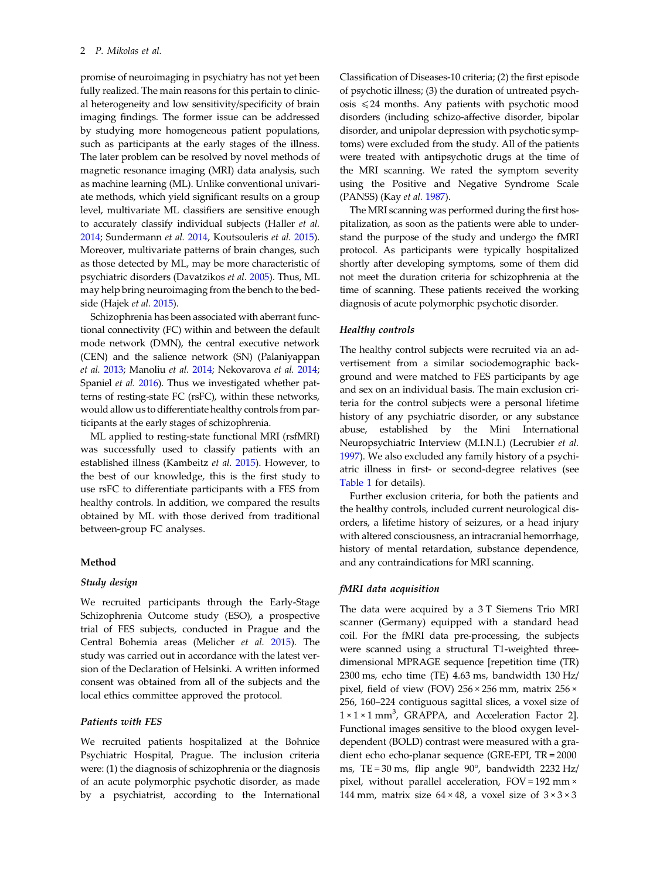promise of neuroimaging in psychiatry has not yet been fully realized. The main reasons for this pertain to clinical heterogeneity and low sensitivity/specificity of brain imaging findings. The former issue can be addressed by studying more homogeneous patient populations, such as participants at the early stages of the illness. The later problem can be resolved by novel methods of magnetic resonance imaging (MRI) data analysis, such as machine learning (ML). Unlike conventional univariate methods, which yield significant results on a group level, multivariate ML classifiers are sensitive enough to accurately classify individual subjects (Haller et al. [2014](#page-7-0); Sundermann et al. [2014](#page-8-0), Koutsouleris et al. [2015\)](#page-7-0). Moreover, multivariate patterns of brain changes, such as those detected by ML, may be more characteristic of psychiatric disorders (Davatzikos et al. [2005](#page-7-0)). Thus, ML may help bring neuroimaging from the bench to the bedside (Hajek et al. [2015](#page-7-0)).

Schizophrenia has been associated with aberrant functional connectivity (FC) within and between the default mode network (DMN), the central executive network (CEN) and the salience network (SN) (Palaniyappan et al. [2013](#page-8-0); Manoliu et al. [2014](#page-8-0); Nekovarova et al. [2014](#page-8-0); Spaniel et al. [2016\)](#page-8-0). Thus we investigated whether patterns of resting-state FC (rsFC), within these networks, would allow us to differentiate healthy controls from participants at the early stages of schizophrenia.

ML applied to resting-state functional MRI (rsfMRI) was successfully used to classify patients with an established illness (Kambeitz et al. [2015\)](#page-7-0). However, to the best of our knowledge, this is the first study to use rsFC to differentiate participants with a FES from healthy controls. In addition, we compared the results obtained by ML with those derived from traditional between-group FC analyses.

# Method

#### Study design

We recruited participants through the Early-Stage Schizophrenia Outcome study (ESO), a prospective trial of FES subjects, conducted in Prague and the Central Bohemia areas (Melicher et al. [2015\)](#page-8-0). The study was carried out in accordance with the latest version of the Declaration of Helsinki. A written informed consent was obtained from all of the subjects and the local ethics committee approved the protocol.

## Patients with FES

We recruited patients hospitalized at the Bohnice Psychiatric Hospital, Prague. The inclusion criteria were: (1) the diagnosis of schizophrenia or the diagnosis of an acute polymorphic psychotic disorder, as made by a psychiatrist, according to the International

Classification of Diseases-10 criteria; (2) the first episode of psychotic illness; (3) the duration of untreated psych- $\delta$ osis  $\leq$ 24 months. Any patients with psychotic mood disorders (including schizo-affective disorder, bipolar disorder, and unipolar depression with psychotic symptoms) were excluded from the study. All of the patients were treated with antipsychotic drugs at the time of the MRI scanning. We rated the symptom severity using the Positive and Negative Syndrome Scale (PANSS) (Kay et al. [1987\)](#page-7-0).

The MRI scanning was performed during the first hospitalization, as soon as the patients were able to understand the purpose of the study and undergo the fMRI protocol. As participants were typically hospitalized shortly after developing symptoms, some of them did not meet the duration criteria for schizophrenia at the time of scanning. These patients received the working diagnosis of acute polymorphic psychotic disorder.

#### Healthy controls

The healthy control subjects were recruited via an advertisement from a similar sociodemographic background and were matched to FES participants by age and sex on an individual basis. The main exclusion criteria for the control subjects were a personal lifetime history of any psychiatric disorder, or any substance abuse, established by the Mini International Neuropsychiatric Interview (M.I.N.I.) (Lecrubier et al. [1997\)](#page-7-0). We also excluded any family history of a psychiatric illness in first- or second-degree relatives (see [Table 1](#page-2-0) for details).

Further exclusion criteria, for both the patients and the healthy controls, included current neurological disorders, a lifetime history of seizures, or a head injury with altered consciousness, an intracranial hemorrhage, history of mental retardation, substance dependence, and any contraindications for MRI scanning.

#### fMRI data acquisition

The data were acquired by a 3 T Siemens Trio MRI scanner (Germany) equipped with a standard head coil. For the fMRI data pre-processing, the subjects were scanned using a structural T1-weighted threedimensional MPRAGE sequence [repetition time (TR) 2300 ms, echo time (TE) 4.63 ms, bandwidth 130 Hz/ pixel, field of view (FOV) 256 × 256 mm, matrix 256 × 256, 160–224 contiguous sagittal slices, a voxel size of  $1 \times 1 \times 1$  mm<sup>3</sup>, GRAPPA, and Acceleration Factor 2]. Functional images sensitive to the blood oxygen leveldependent (BOLD) contrast were measured with a gradient echo echo-planar sequence (GRE-EPI, TR = 2000 ms, TE = 30 ms, flip angle 90°, bandwidth 2232 Hz/ pixel, without parallel acceleration, FOV = 192 mm × 144 mm, matrix size  $64 \times 48$ , a voxel size of  $3 \times 3 \times 3$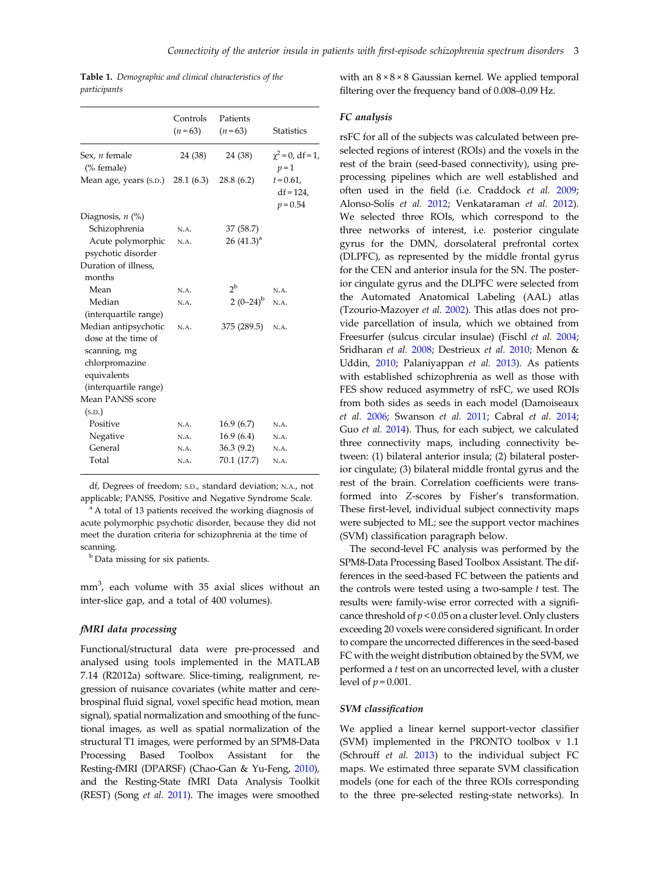|                                               | Controls<br>$(n=63)$ | Patients<br>$(n=63)$ | <b>Statistics</b>                          |
|-----------------------------------------------|----------------------|----------------------|--------------------------------------------|
| Sex, <i>n</i> female<br>(% female)            | 24 (38)              | 24 (38)              | $\chi^2 = 0$ , df = 1,<br>$p=1$            |
| Mean age, years $(S.D.)$ 28.1 $(6.3)$         |                      | 28.8(6.2)            | $t = 0.61$ ,<br>$df = 124$ ,<br>$p = 0.54$ |
| Diagnosis, $n$ (%)                            |                      |                      |                                            |
| Schizophrenia                                 | N.A.                 | 37 (58.7)            |                                            |
| Acute polymorphic<br>psychotic disorder       | N.A.                 | $26$ $(41.3)^a$      |                                            |
| Duration of illness.<br>months                |                      |                      |                                            |
| Mean                                          | N.A.                 | 2 <sup>b</sup>       | N.A.                                       |
| Median                                        | N.A.                 | $2(0-24)^{b}$        | N.A.                                       |
| (interquartile range)<br>Median antipsychotic | N.A.                 | 375 (289.5)          | N.A.                                       |
| dose at the time of                           |                      |                      |                                            |
| scanning, mg<br>chlorpromazine                |                      |                      |                                            |
| equivalents                                   |                      |                      |                                            |
| (interquartile range)                         |                      |                      |                                            |
| Mean PANSS score                              |                      |                      |                                            |
| (S.D.)                                        |                      |                      |                                            |
| Positive                                      | N.A.                 | 16.9(6.7)            | N.A.                                       |
| Negative                                      | N.A.                 | 16.9(6.4)            | N.A.                                       |
| General                                       | N.A.                 | 36.3 (9.2)           | N.A.                                       |
| Total                                         | N.A.                 | 70.1 (17.7)          | N.A.                                       |

<span id="page-2-0"></span>Table 1. Demographic and clinical characteristics of the participants

df, Degrees of freedom; S.D., standard deviation; N.A., not applicable; PANSS, Positive and Negative Syndrome Scale.

<sup>a</sup> A total of 13 patients received the working diagnosis of acute polymorphic psychotic disorder, because they did not meet the duration criteria for schizophrenia at the time of scanning.

<sup>b</sup> Data missing for six patients.

mm<sup>3</sup>, each volume with 35 axial slices without an inter-slice gap, and a total of 400 volumes).

#### fMRI data processing

Functional/structural data were pre-processed and analysed using tools implemented in the MATLAB 7.14 (R2012a) software. Slice-timing, realignment, regression of nuisance covariates (white matter and cerebrospinal fluid signal, voxel specific head motion, mean signal), spatial normalization and smoothing of the functional images, as well as spatial normalization of the structural T1 images, were performed by an SPM8-Data Processing Based Toolbox Assistant for the Resting-fMRI (DPARSF) (Chao-Gan & Yu-Feng, [2010\)](#page-7-0), and the Resting-State fMRI Data Analysis Toolkit (REST) (Song et al. [2011](#page-8-0)). The images were smoothed with an  $8 \times 8 \times 8$  Gaussian kernel. We applied temporal filtering over the frequency band of 0.008–0.09 Hz.

# FC analysis

rsFC for all of the subjects was calculated between preselected regions of interest (ROIs) and the voxels in the rest of the brain (seed-based connectivity), using preprocessing pipelines which are well established and often used in the field (i.e. Craddock et al. [2009](#page-7-0); Alonso-Solís et al. [2012](#page-6-0); Venkataraman et al. [2012](#page-9-0)). We selected three ROIs, which correspond to the three networks of interest, i.e. posterior cingulate gyrus for the DMN, dorsolateral prefrontal cortex (DLPFC), as represented by the middle frontal gyrus for the CEN and anterior insula for the SN. The posterior cingulate gyrus and the DLPFC were selected from the Automated Anatomical Labeling (AAL) atlas (Tzourio-Mazoyer et al. [2002](#page-9-0)). This atlas does not provide parcellation of insula, which we obtained from Freesurfer (sulcus circular insulae) (Fischl et al. [2004](#page-7-0); Sridharan et al. [2008;](#page-8-0) Destrieux et al. [2010](#page-7-0); Menon & Uddin, [2010](#page-8-0); Palaniyappan et al. [2013\)](#page-8-0). As patients with established schizophrenia as well as those with FES show reduced asymmetry of rsFC, we used ROIs from both sides as seeds in each model (Damoiseaux et al. [2006](#page-7-0); Swanson et al. [2011](#page-9-0); Cabral et al. [2014](#page-7-0); Guo et al. [2014](#page-7-0)). Thus, for each subject, we calculated three connectivity maps, including connectivity between: (1) bilateral anterior insula; (2) bilateral posterior cingulate; (3) bilateral middle frontal gyrus and the rest of the brain. Correlation coefficients were transformed into Z-scores by Fisher's transformation. These first-level, individual subject connectivity maps were subjected to ML; see the support vector machines (SVM) classification paragraph below.

The second-level FC analysis was performed by the SPM8-Data Processing Based Toolbox Assistant. The differences in the seed-based FC between the patients and the controls were tested using a two-sample  $t$  test. The results were family-wise error corrected with a significance threshold of  $p < 0.05$  on a cluster level. Only clusters exceeding 20 voxels were considered significant. In order to compare the uncorrected differences in the seed-based FC with the weight distribution obtained by the SVM, we performed a t test on an uncorrected level, with a cluster level of  $p = 0.001$ .

# SVM classification

We applied a linear kernel support-vector classifier (SVM) implemented in the PRONTO toolbox v 1.1 (Schrouff et al. [2013](#page-8-0)) to the individual subject FC maps. We estimated three separate SVM classification models (one for each of the three ROIs corresponding to the three pre-selected resting-state networks). In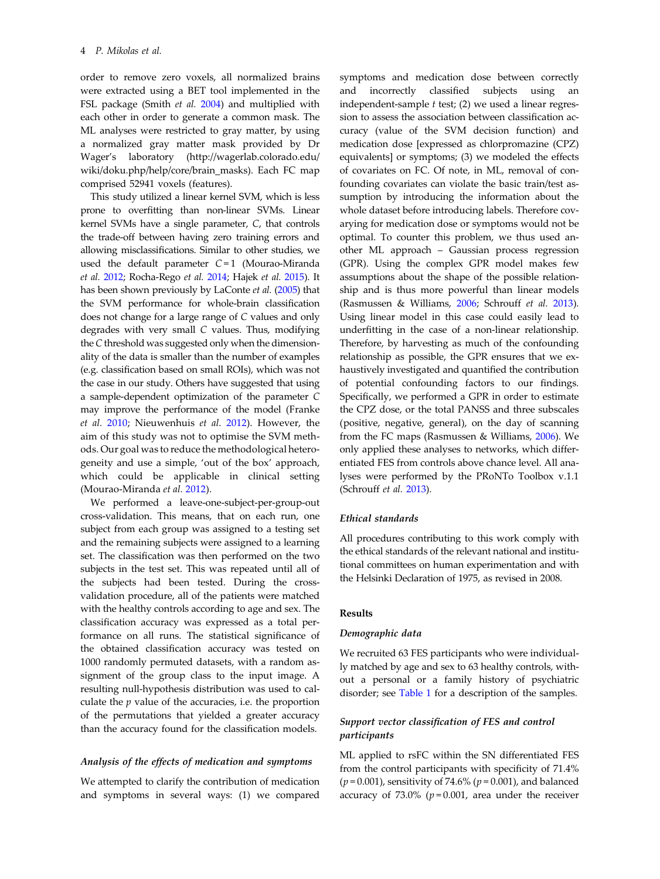order to remove zero voxels, all normalized brains were extracted using a BET tool implemented in the FSL package (Smith et al. [2004](#page-8-0)) and multiplied with each other in order to generate a common mask. The ML analyses were restricted to gray matter, by using a normalized gray matter mask provided by Dr Wager's laboratory (http://wagerlab.colorado.edu/ wiki/doku.php/help/core/brain\_masks). Each FC map comprised 52941 voxels (features).

This study utilized a linear kernel SVM, which is less prone to overfitting than non-linear SVMs. Linear kernel SVMs have a single parameter, C, that controls the trade-off between having zero training errors and allowing misclassifications. Similar to other studies, we used the default parameter  $C = 1$  (Mourao-Miranda et al. [2012](#page-8-0); Rocha-Rego et al. [2014;](#page-8-0) Hajek et al. [2015\)](#page-7-0). It has been shown previously by LaConte et al. ([2005](#page-7-0)) that the SVM performance for whole-brain classification does not change for a large range of C values and only degrades with very small C values. Thus, modifying the C threshold was suggested only when the dimensionality of the data is smaller than the number of examples (e.g. classification based on small ROIs), which was not the case in our study. Others have suggested that using a sample-dependent optimization of the parameter C may improve the performance of the model (Franke et al. [2010](#page-7-0); Nieuwenhuis et al. [2012\)](#page-8-0). However, the aim of this study was not to optimise the SVM methods. Our goal was to reduce the methodological heterogeneity and use a simple, 'out of the box' approach, which could be applicable in clinical setting (Mourao-Miranda et al. [2012\)](#page-8-0).

We performed a leave-one-subject-per-group-out cross-validation. This means, that on each run, one subject from each group was assigned to a testing set and the remaining subjects were assigned to a learning set. The classification was then performed on the two subjects in the test set. This was repeated until all of the subjects had been tested. During the crossvalidation procedure, all of the patients were matched with the healthy controls according to age and sex. The classification accuracy was expressed as a total performance on all runs. The statistical significance of the obtained classification accuracy was tested on 1000 randomly permuted datasets, with a random assignment of the group class to the input image. A resulting null-hypothesis distribution was used to calculate the  $p$  value of the accuracies, i.e. the proportion of the permutations that yielded a greater accuracy than the accuracy found for the classification models.

# Analysis of the effects of medication and symptoms

We attempted to clarify the contribution of medication and symptoms in several ways: (1) we compared symptoms and medication dose between correctly and incorrectly classified subjects using an independent-sample  $t$  test; (2) we used a linear regression to assess the association between classification accuracy (value of the SVM decision function) and medication dose [expressed as chlorpromazine (CPZ) equivalents] or symptoms; (3) we modeled the effects of covariates on FC. Of note, in ML, removal of confounding covariates can violate the basic train/test assumption by introducing the information about the whole dataset before introducing labels. Therefore covarying for medication dose or symptoms would not be optimal. To counter this problem, we thus used another ML approach – Gaussian process regression (GPR). Using the complex GPR model makes few assumptions about the shape of the possible relationship and is thus more powerful than linear models (Rasmussen & Williams, [2006](#page-8-0); Schrouff et al. [2013](#page-8-0)). Using linear model in this case could easily lead to underfitting in the case of a non-linear relationship. Therefore, by harvesting as much of the confounding relationship as possible, the GPR ensures that we exhaustively investigated and quantified the contribution of potential confounding factors to our findings. Specifically, we performed a GPR in order to estimate the CPZ dose, or the total PANSS and three subscales (positive, negative, general), on the day of scanning from the FC maps (Rasmussen & Williams, [2006](#page-8-0)). We only applied these analyses to networks, which differentiated FES from controls above chance level. All analyses were performed by the PRoNTo Toolbox v.1.1 (Schrouff et al. [2013\)](#page-8-0).

#### Ethical standards

All procedures contributing to this work comply with the ethical standards of the relevant national and institutional committees on human experimentation and with the Helsinki Declaration of 1975, as revised in 2008.

# Results

#### Demographic data

We recruited 63 FES participants who were individually matched by age and sex to 63 healthy controls, without a personal or a family history of psychiatric disorder; see [Table 1](#page-2-0) for a description of the samples.

# Support vector classification of FES and control participants

ML applied to rsFC within the SN differentiated FES from the control participants with specificity of 71.4%  $(p = 0.001)$ , sensitivity of 74.6% ( $p = 0.001$ ), and balanced accuracy of 73.0% ( $p = 0.001$ , area under the receiver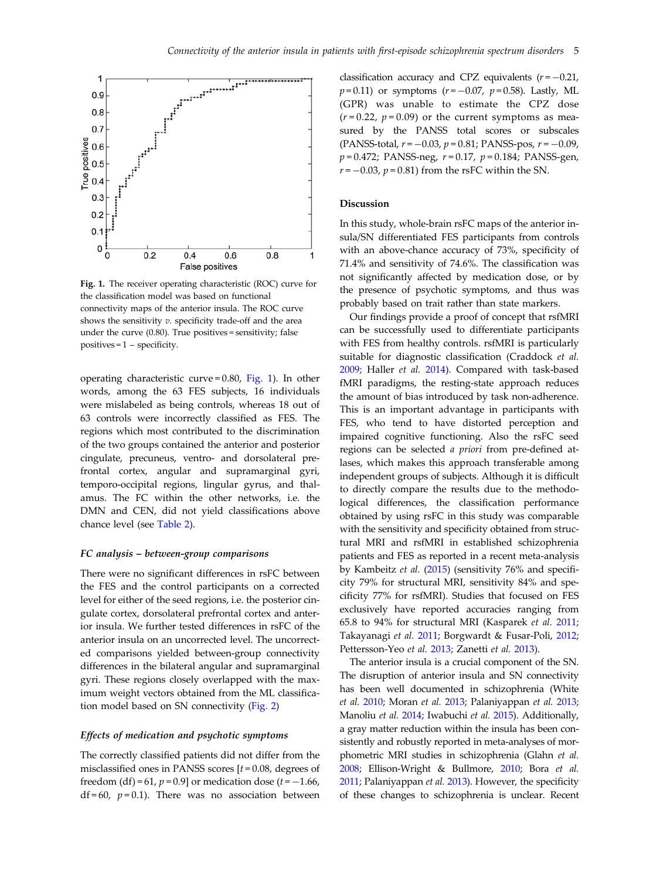<span id="page-4-0"></span>

Fig. 1. The receiver operating characteristic (ROC) curve for the classification model was based on functional connectivity maps of the anterior insula. The ROC curve shows the sensitivity  $v$ . specificity trade-off and the area under the curve (0.80). True positives = sensitivity; false positives = 1 – specificity.

operating characteristic curve = 0.80, Fig. 1). In other words, among the 63 FES subjects, 16 individuals were mislabeled as being controls, whereas 18 out of 63 controls were incorrectly classified as FES. The regions which most contributed to the discrimination of the two groups contained the anterior and posterior cingulate, precuneus, ventro- and dorsolateral prefrontal cortex, angular and supramarginal gyri, temporo-occipital regions, lingular gyrus, and thalamus. The FC within the other networks, i.e. the DMN and CEN, did not yield classifications above chance level (see [Table 2](#page-5-0)).

# FC analysis – between-group comparisons

There were no significant differences in rsFC between the FES and the control participants on a corrected level for either of the seed regions, i.e. the posterior cingulate cortex, dorsolateral prefrontal cortex and anterior insula. We further tested differences in rsFC of the anterior insula on an uncorrected level. The uncorrected comparisons yielded between-group connectivity differences in the bilateral angular and supramarginal gyri. These regions closely overlapped with the maximum weight vectors obtained from the ML classification model based on SN connectivity [\(Fig. 2](#page-5-0))

# Effects of medication and psychotic symptoms

The correctly classified patients did not differ from the misclassified ones in PANSS scores  $[t = 0.08,$  degrees of freedom (df) = 61,  $p = 0.9$ ] or medication dose ( $t = -1.66$ ,  $df = 60$ ,  $p = 0.1$ ). There was no association between

classification accuracy and CPZ equivalents  $(r = -0.21)$ ,  $p = 0.11$ ) or symptoms ( $r = -0.07$ ,  $p = 0.58$ ). Lastly, ML (GPR) was unable to estimate the CPZ dose  $(r=0.22, p=0.09)$  or the current symptoms as measured by the PANSS total scores or subscales (PANSS-total,  $r = -0.03$ ,  $p = 0.81$ ; PANSS-pos,  $r = -0.09$ ,  $p = 0.472$ ; PANSS-neg,  $r = 0.17$ ,  $p = 0.184$ ; PANSS-gen,  $r = -0.03$ ,  $p = 0.81$ ) from the rsFC within the SN.

# Discussion

In this study, whole-brain rsFC maps of the anterior insula/SN differentiated FES participants from controls with an above-chance accuracy of 73%, specificity of 71.4% and sensitivity of 74.6%. The classification was not significantly affected by medication dose, or by the presence of psychotic symptoms, and thus was probably based on trait rather than state markers.

Our findings provide a proof of concept that rsfMRI can be successfully used to differentiate participants with FES from healthy controls. rsfMRI is particularly suitable for diagnostic classification (Craddock et al. [2009;](#page-7-0) Haller et al. [2014](#page-7-0)). Compared with task-based fMRI paradigms, the resting-state approach reduces the amount of bias introduced by task non-adherence. This is an important advantage in participants with FES, who tend to have distorted perception and impaired cognitive functioning. Also the rsFC seed regions can be selected a priori from pre-defined atlases, which makes this approach transferable among independent groups of subjects. Although it is difficult to directly compare the results due to the methodological differences, the classification performance obtained by using rsFC in this study was comparable with the sensitivity and specificity obtained from structural MRI and rsfMRI in established schizophrenia patients and FES as reported in a recent meta-analysis by Kambeitz et al. ([2015\)](#page-7-0) (sensitivity 76% and specificity 79% for structural MRI, sensitivity 84% and specificity 77% for rsfMRI). Studies that focused on FES exclusively have reported accuracies ranging from 65.8 to 94% for structural MRI (Kasparek et al. [2011](#page-7-0); Takayanagi et al. [2011](#page-9-0); Borgwardt & Fusar-Poli, [2012](#page-7-0); Pettersson-Yeo et al. [2013;](#page-8-0) Zanetti et al. [2013](#page-9-0)).

The anterior insula is a crucial component of the SN. The disruption of anterior insula and SN connectivity has been well documented in schizophrenia (White et al. [2010;](#page-9-0) Moran et al. [2013](#page-8-0); Palaniyappan et al. [2013](#page-8-0); Manoliu et al. [2014;](#page-8-0) Iwabuchi et al. [2015](#page-7-0)). Additionally, a gray matter reduction within the insula has been consistently and robustly reported in meta-analyses of morphometric MRI studies in schizophrenia (Glahn et al. [2008](#page-7-0); Ellison-Wright & Bullmore, [2010;](#page-7-0) Bora et al. [2011](#page-6-0); Palaniyappan et al. [2013\)](#page-8-0). However, the specificity of these changes to schizophrenia is unclear. Recent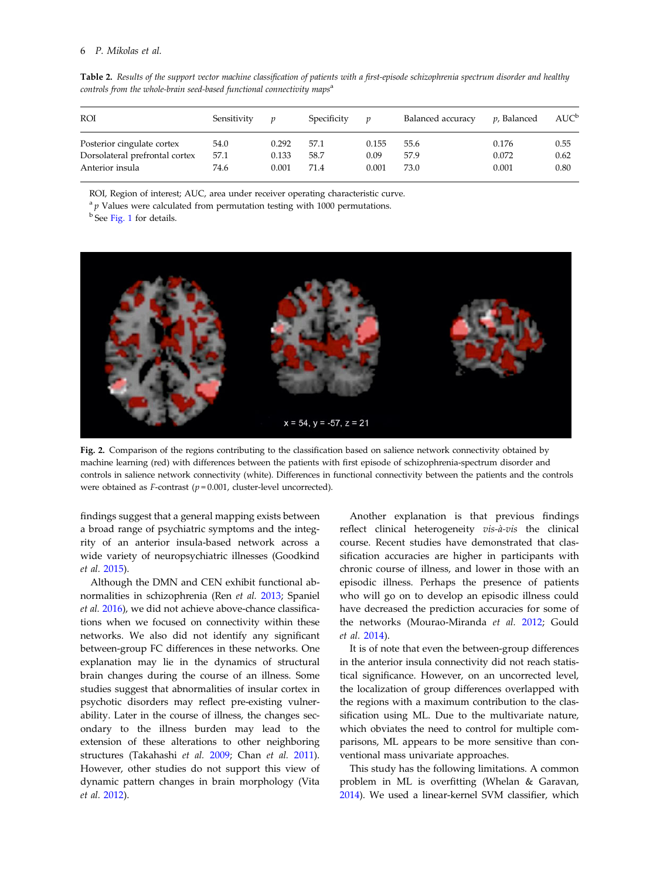<span id="page-5-0"></span>

| Table 2. Results of the support vector machine classification of patients with a first-episode schizophrenia spectrum disorder and healthy |  |  |  |
|--------------------------------------------------------------------------------------------------------------------------------------------|--|--|--|
| controls from the whole-brain seed-based functional connectivity maps <sup>a</sup>                                                         |  |  |  |

| <b>ROI</b>                                        | Sensitivity  | $\boldsymbol{n}$ | Specificity  | n             | Balanced accuracy | <i>p</i> , Balanced | $AUC^b$      |
|---------------------------------------------------|--------------|------------------|--------------|---------------|-------------------|---------------------|--------------|
| Posterior cingulate cortex                        | 54.0         | 0.292            | 57.1         | 0.155         | 55.6              | 0.176               | 0.55         |
| Dorsolateral prefrontal cortex<br>Anterior insula | 57.1<br>74.6 | 0.133<br>0.001   | 58.7<br>71.4 | 0.09<br>0.001 | 57.9<br>73.0      | 0.072<br>0.001      | 0.62<br>0.80 |

ROI, Region of interest; AUC, area under receiver operating characteristic curve.

 $a<sup>a</sup>p$  Values were calculated from permutation testing with 1000 permutations.

<sup>b</sup> See [Fig. 1](#page-4-0) for details.



Fig. 2. Comparison of the regions contributing to the classification based on salience network connectivity obtained by machine learning (red) with differences between the patients with first episode of schizophrenia-spectrum disorder and controls in salience network connectivity (white). Differences in functional connectivity between the patients and the controls were obtained as  $F$ -contrast ( $p = 0.001$ , cluster-level uncorrected).

findings suggest that a general mapping exists between a broad range of psychiatric symptoms and the integrity of an anterior insula-based network across a wide variety of neuropsychiatric illnesses (Goodkind et al. [2015\)](#page-7-0).

Although the DMN and CEN exhibit functional abnormalities in schizophrenia (Ren et al. [2013;](#page-8-0) Spaniel et al. [2016](#page-8-0)), we did not achieve above-chance classifications when we focused on connectivity within these networks. We also did not identify any significant between-group FC differences in these networks. One explanation may lie in the dynamics of structural brain changes during the course of an illness. Some studies suggest that abnormalities of insular cortex in psychotic disorders may reflect pre-existing vulnerability. Later in the course of illness, the changes secondary to the illness burden may lead to the extension of these alterations to other neighboring structures (Takahashi et al. [2009](#page-9-0); Chan et al. [2011](#page-7-0)). However, other studies do not support this view of dynamic pattern changes in brain morphology (Vita et al. [2012\)](#page-9-0).

Another explanation is that previous findings reflect clinical heterogeneity vis-à-vis the clinical course. Recent studies have demonstrated that classification accuracies are higher in participants with chronic course of illness, and lower in those with an episodic illness. Perhaps the presence of patients who will go on to develop an episodic illness could have decreased the prediction accuracies for some of the networks (Mourao-Miranda et al. [2012;](#page-8-0) Gould et al. [2014\)](#page-7-0).

It is of note that even the between-group differences in the anterior insula connectivity did not reach statistical significance. However, on an uncorrected level, the localization of group differences overlapped with the regions with a maximum contribution to the classification using ML. Due to the multivariate nature, which obviates the need to control for multiple comparisons, ML appears to be more sensitive than conventional mass univariate approaches.

This study has the following limitations. A common problem in ML is overfitting (Whelan & Garavan, [2014\)](#page-9-0). We used a linear-kernel SVM classifier, which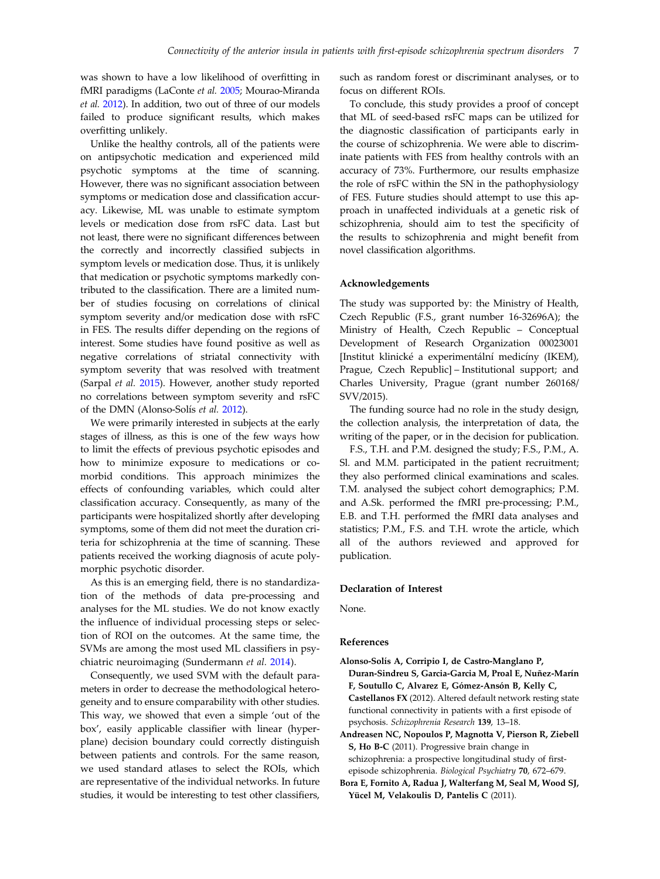<span id="page-6-0"></span>was shown to have a low likelihood of overfitting in fMRI paradigms (LaConte et al. [2005;](#page-7-0) Mourao-Miranda et al. [2012\)](#page-8-0). In addition, two out of three of our models failed to produce significant results, which makes overfitting unlikely.

Unlike the healthy controls, all of the patients were on antipsychotic medication and experienced mild psychotic symptoms at the time of scanning. However, there was no significant association between symptoms or medication dose and classification accuracy. Likewise, ML was unable to estimate symptom levels or medication dose from rsFC data. Last but not least, there were no significant differences between the correctly and incorrectly classified subjects in symptom levels or medication dose. Thus, it is unlikely that medication or psychotic symptoms markedly contributed to the classification. There are a limited number of studies focusing on correlations of clinical symptom severity and/or medication dose with rsFC in FES. The results differ depending on the regions of interest. Some studies have found positive as well as negative correlations of striatal connectivity with symptom severity that was resolved with treatment (Sarpal et al. [2015](#page-8-0)). However, another study reported no correlations between symptom severity and rsFC of the DMN (Alonso-Solís et al. 2012).

We were primarily interested in subjects at the early stages of illness, as this is one of the few ways how to limit the effects of previous psychotic episodes and how to minimize exposure to medications or comorbid conditions. This approach minimizes the effects of confounding variables, which could alter classification accuracy. Consequently, as many of the participants were hospitalized shortly after developing symptoms, some of them did not meet the duration criteria for schizophrenia at the time of scanning. These patients received the working diagnosis of acute polymorphic psychotic disorder.

As this is an emerging field, there is no standardization of the methods of data pre-processing and analyses for the ML studies. We do not know exactly the influence of individual processing steps or selection of ROI on the outcomes. At the same time, the SVMs are among the most used ML classifiers in psychiatric neuroimaging (Sundermann et al. [2014](#page-8-0)).

Consequently, we used SVM with the default parameters in order to decrease the methodological heterogeneity and to ensure comparability with other studies. This way, we showed that even a simple 'out of the box', easily applicable classifier with linear (hyperplane) decision boundary could correctly distinguish between patients and controls. For the same reason, we used standard atlases to select the ROIs, which are representative of the individual networks. In future studies, it would be interesting to test other classifiers,

such as random forest or discriminant analyses, or to focus on different ROIs.

To conclude, this study provides a proof of concept that ML of seed-based rsFC maps can be utilized for the diagnostic classification of participants early in the course of schizophrenia. We were able to discriminate patients with FES from healthy controls with an accuracy of 73%. Furthermore, our results emphasize the role of rsFC within the SN in the pathophysiology of FES. Future studies should attempt to use this approach in unaffected individuals at a genetic risk of schizophrenia, should aim to test the specificity of the results to schizophrenia and might benefit from novel classification algorithms.

#### Acknowledgements

The study was supported by: the Ministry of Health, Czech Republic (F.S., grant number 16-32696A); the Ministry of Health, Czech Republic – Conceptual Development of Research Organization 00023001 [Institut klinické a experimentální medicíny (IKEM), Prague, Czech Republic] – Institutional support; and Charles University, Prague (grant number 260168/ SVV/2015).

The funding source had no role in the study design, the collection analysis, the interpretation of data, the writing of the paper, or in the decision for publication.

F.S., T.H. and P.M. designed the study; F.S., P.M., A. Sl. and M.M. participated in the patient recruitment; they also performed clinical examinations and scales. T.M. analysed the subject cohort demographics; P.M. and A.Sk. performed the fMRI pre-processing; P.M., E.B. and T.H. performed the fMRI data analyses and statistics; P.M., F.S. and T.H. wrote the article, which all of the authors reviewed and approved for publication.

#### Declaration of Interest

None.

#### References

Alonso-Solís A, Corripio I, de Castro-Manglano P, Duran-Sindreu S, Garcia-Garcia M, Proal E, Nuñez-Marín F, Soutullo C, Alvarez E, Gómez-Ansón B, Kelly C, Castellanos FX (2012). Altered default network resting state functional connectivity in patients with a first episode of psychosis. Schizophrenia Research 139, 13–18.

Andreasen NC, Nopoulos P, Magnotta V, Pierson R, Ziebell S, Ho B-C (2011). Progressive brain change in schizophrenia: a prospective longitudinal study of firstepisode schizophrenia. Biological Psychiatry 70, 672–679.

Bora E, Fornito A, Radua J, Walterfang M, Seal M, Wood SJ, Yücel M, Velakoulis D, Pantelis C (2011).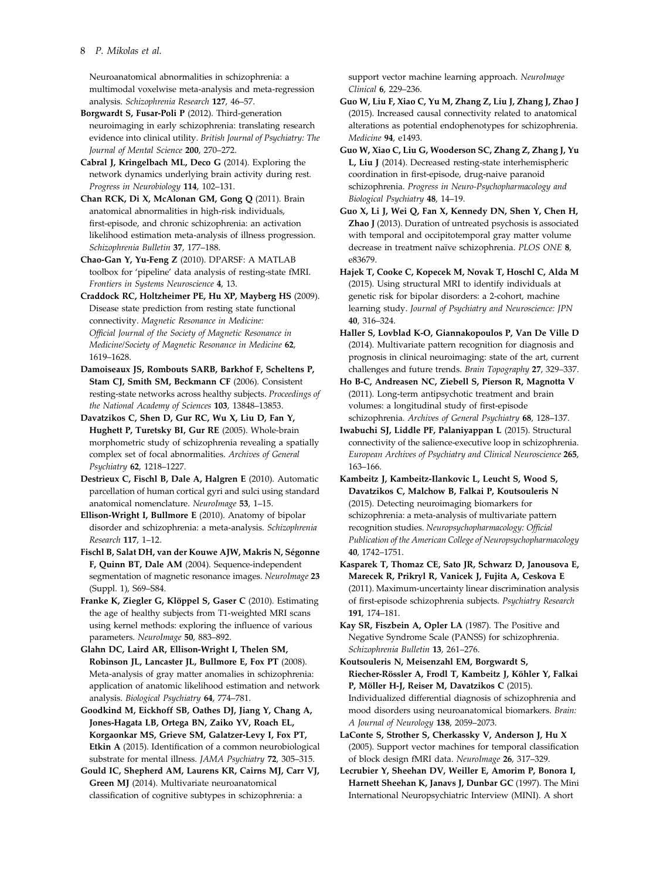#### <span id="page-7-0"></span>8 P. Mikolas et al.

Neuroanatomical abnormalities in schizophrenia: a multimodal voxelwise meta-analysis and meta-regression analysis. Schizophrenia Research 127, 46–57.

Borgwardt S, Fusar-Poli P (2012). Third-generation neuroimaging in early schizophrenia: translating research evidence into clinical utility. British Journal of Psychiatry: The Journal of Mental Science 200, 270–272.

Cabral J, Kringelbach ML, Deco G (2014). Exploring the network dynamics underlying brain activity during rest. Progress in Neurobiology 114, 102–131.

Chan RCK, Di X, McAlonan GM, Gong Q (2011). Brain anatomical abnormalities in high-risk individuals, first-episode, and chronic schizophrenia: an activation likelihood estimation meta-analysis of illness progression. Schizophrenia Bulletin 37, 177–188.

Chao-Gan Y, Yu-Feng Z (2010). DPARSF: A MATLAB toolbox for 'pipeline' data analysis of resting-state fMRI. Frontiers in Systems Neuroscience 4, 13.

Craddock RC, Holtzheimer PE, Hu XP, Mayberg HS (2009). Disease state prediction from resting state functional connectivity. Magnetic Resonance in Medicine: Official Journal of the Society of Magnetic Resonance in Medicine/Society of Magnetic Resonance in Medicine 62, 1619–1628.

Damoiseaux JS, Rombouts SARB, Barkhof F, Scheltens P, Stam CJ, Smith SM, Beckmann CF (2006). Consistent resting-state networks across healthy subjects. Proceedings of the National Academy of Sciences 103, 13848–13853.

Davatzikos C, Shen D, Gur RC, Wu X, Liu D, Fan Y, Hughett P, Turetsky BI, Gur RE (2005). Whole-brain morphometric study of schizophrenia revealing a spatially complex set of focal abnormalities. Archives of General Psychiatry 62, 1218–1227.

Destrieux C, Fischl B, Dale A, Halgren E (2010). Automatic parcellation of human cortical gyri and sulci using standard anatomical nomenclature. NeuroImage 53, 1–15.

Ellison-Wright I, Bullmore E (2010). Anatomy of bipolar disorder and schizophrenia: a meta-analysis. Schizophrenia Research 117, 1–12.

Fischl B, Salat DH, van der Kouwe AJW, Makris N, Ségonne F, Quinn BT, Dale AM (2004). Sequence-independent segmentation of magnetic resonance images. NeuroImage 23 (Suppl. 1), S69–S84.

Franke K, Ziegler G, Klöppel S, Gaser C (2010). Estimating the age of healthy subjects from T1-weighted MRI scans using kernel methods: exploring the influence of various parameters. NeuroImage 50, 883–892.

Glahn DC, Laird AR, Ellison-Wright I, Thelen SM, Robinson JL, Lancaster JL, Bullmore E, Fox PT (2008). Meta-analysis of gray matter anomalies in schizophrenia: application of anatomic likelihood estimation and network analysis. Biological Psychiatry 64, 774–781.

Goodkind M, Eickhoff SB, Oathes DJ, Jiang Y, Chang A, Jones-Hagata LB, Ortega BN, Zaiko YV, Roach EL, Korgaonkar MS, Grieve SM, Galatzer-Levy I, Fox PT, Etkin A (2015). Identification of a common neurobiological substrate for mental illness. JAMA Psychiatry 72, 305–315.

Gould IC, Shepherd AM, Laurens KR, Cairns MJ, Carr VJ, Green MJ (2014). Multivariate neuroanatomical classification of cognitive subtypes in schizophrenia: a

support vector machine learning approach. NeuroImage Clinical 6, 229–236.

Guo W, Liu F, Xiao C, Yu M, Zhang Z, Liu J, Zhang J, Zhao J (2015). Increased causal connectivity related to anatomical alterations as potential endophenotypes for schizophrenia. Medicine 94, e1493.

Guo W, Xiao C, Liu G, Wooderson SC, Zhang Z, Zhang J, Yu L, Liu J (2014). Decreased resting-state interhemispheric coordination in first-episode, drug-naive paranoid schizophrenia. Progress in Neuro-Psychopharmacology and Biological Psychiatry 48, 14–19.

Guo X, Li J, Wei Q, Fan X, Kennedy DN, Shen Y, Chen H, Zhao J (2013). Duration of untreated psychosis is associated with temporal and occipitotemporal gray matter volume decrease in treatment naïve schizophrenia. PLOS ONE 8, e83679.

Hajek T, Cooke C, Kopecek M, Novak T, Hoschl C, Alda M (2015). Using structural MRI to identify individuals at genetic risk for bipolar disorders: a 2-cohort, machine learning study. Journal of Psychiatry and Neuroscience: JPN 40, 316–324.

Haller S, Lovblad K-O, Giannakopoulos P, Van De Ville D (2014). Multivariate pattern recognition for diagnosis and prognosis in clinical neuroimaging: state of the art, current challenges and future trends. Brain Topography 27, 329–337.

Ho B-C, Andreasen NC, Ziebell S, Pierson R, Magnotta V (2011). Long-term antipsychotic treatment and brain volumes: a longitudinal study of first-episode schizophrenia. Archives of General Psychiatry 68, 128–137.

Iwabuchi SJ, Liddle PF, Palaniyappan L (2015). Structural connectivity of the salience-executive loop in schizophrenia. European Archives of Psychiatry and Clinical Neuroscience 265, 163–166.

Kambeitz J, Kambeitz-Ilankovic L, Leucht S, Wood S, Davatzikos C, Malchow B, Falkai P, Koutsouleris N (2015). Detecting neuroimaging biomarkers for schizophrenia: a meta-analysis of multivariate pattern recognition studies. Neuropsychopharmacology: Official Publication of the American College of Neuropsychopharmacology 40, 1742–1751.

Kasparek T, Thomaz CE, Sato JR, Schwarz D, Janousova E, Marecek R, Prikryl R, Vanicek J, Fujita A, Ceskova E (2011). Maximum-uncertainty linear discrimination analysis of first-episode schizophrenia subjects. Psychiatry Research 191, 174–181.

Kay SR, Fiszbein A, Opler LA (1987). The Positive and Negative Syndrome Scale (PANSS) for schizophrenia. Schizophrenia Bulletin 13, 261–276.

Koutsouleris N, Meisenzahl EM, Borgwardt S, Riecher-Rössler A, Frodl T, Kambeitz J, Köhler Y, Falkai P, Möller H-J, Reiser M, Davatzikos C (2015). Individualized differential diagnosis of schizophrenia and mood disorders using neuroanatomical biomarkers. Brain: A Journal of Neurology 138, 2059–2073.

LaConte S, Strother S, Cherkassky V, Anderson J, Hu X (2005). Support vector machines for temporal classification of block design fMRI data. NeuroImage 26, 317–329.

Lecrubier Y, Sheehan DV, Weiller E, Amorim P, Bonora I, Harnett Sheehan K, Janavs J, Dunbar GC (1997). The Mini International Neuropsychiatric Interview (MINI). A short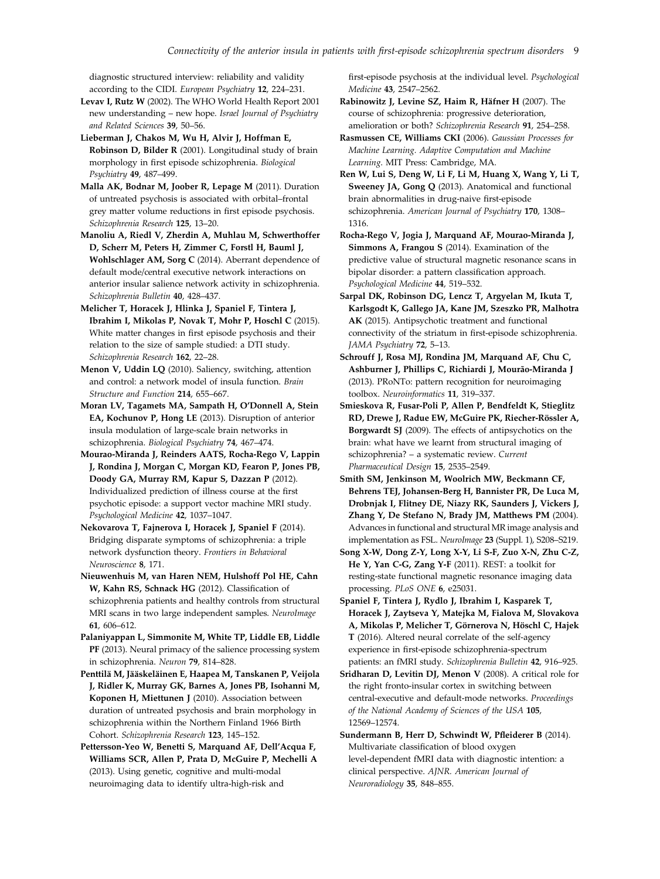<span id="page-8-0"></span>diagnostic structured interview: reliability and validity according to the CIDI. European Psychiatry 12, 224–231.

Levav I, Rutz W (2002). The WHO World Health Report 2001 new understanding – new hope. Israel Journal of Psychiatry and Related Sciences 39, 50–56.

Lieberman J, Chakos M, Wu H, Alvir J, Hoffman E, Robinson D, Bilder R (2001). Longitudinal study of brain morphology in first episode schizophrenia. Biological Psychiatry 49, 487–499.

Malla AK, Bodnar M, Joober R, Lepage M (2011). Duration of untreated psychosis is associated with orbital–frontal grey matter volume reductions in first episode psychosis. Schizophrenia Research 125, 13–20.

Manoliu A, Riedl V, Zherdin A, Muhlau M, Schwerthoffer D, Scherr M, Peters H, Zimmer C, Forstl H, Bauml J, Wohlschlager AM, Sorg C (2014). Aberrant dependence of default mode/central executive network interactions on anterior insular salience network activity in schizophrenia. Schizophrenia Bulletin 40, 428–437.

Melicher T, Horacek J, Hlinka J, Spaniel F, Tintera J, Ibrahim I, Mikolas P, Novak T, Mohr P, Hoschl C (2015). White matter changes in first episode psychosis and their relation to the size of sample studied: a DTI study. Schizophrenia Research 162, 22–28.

Menon V, Uddin LQ (2010). Saliency, switching, attention and control: a network model of insula function. Brain Structure and Function 214, 655–667.

Moran LV, Tagamets MA, Sampath H, O'Donnell A, Stein EA, Kochunov P, Hong LE (2013). Disruption of anterior insula modulation of large-scale brain networks in schizophrenia. Biological Psychiatry 74, 467–474.

Mourao-Miranda J, Reinders AATS, Rocha-Rego V, Lappin J, Rondina J, Morgan C, Morgan KD, Fearon P, Jones PB, Doody GA, Murray RM, Kapur S, Dazzan P (2012). Individualized prediction of illness course at the first psychotic episode: a support vector machine MRI study. Psychological Medicine 42, 1037–1047.

Nekovarova T, Fajnerova I, Horacek J, Spaniel F (2014). Bridging disparate symptoms of schizophrenia: a triple network dysfunction theory. Frontiers in Behavioral Neuroscience 8, 171.

Nieuwenhuis M, van Haren NEM, Hulshoff Pol HE, Cahn W, Kahn RS, Schnack HG (2012). Classification of schizophrenia patients and healthy controls from structural MRI scans in two large independent samples. NeuroImage 61, 606–612.

Palaniyappan L, Simmonite M, White TP, Liddle EB, Liddle PF (2013). Neural primacy of the salience processing system in schizophrenia. Neuron 79, 814–828.

Penttilä M, Jääskeläinen E, Haapea M, Tanskanen P, Veijola J, Ridler K, Murray GK, Barnes A, Jones PB, Isohanni M, Koponen H, Miettunen J (2010). Association between duration of untreated psychosis and brain morphology in schizophrenia within the Northern Finland 1966 Birth Cohort. Schizophrenia Research 123, 145–152.

Pettersson-Yeo W, Benetti S, Marquand AF, Dell'Acqua F, Williams SCR, Allen P, Prata D, McGuire P, Mechelli A (2013). Using genetic, cognitive and multi-modal neuroimaging data to identify ultra-high-risk and

first-episode psychosis at the individual level. Psychological Medicine 43, 2547–2562.

Rabinowitz J, Levine SZ, Haim R, Häfner H (2007). The course of schizophrenia: progressive deterioration, amelioration or both? Schizophrenia Research 91, 254–258.

Rasmussen CE, Williams CKI (2006). Gaussian Processes for Machine Learning. Adaptive Computation and Machine Learning. MIT Press: Cambridge, MA.

Ren W, Lui S, Deng W, Li F, Li M, Huang X, Wang Y, Li T, Sweeney JA, Gong Q (2013). Anatomical and functional brain abnormalities in drug-naive first-episode schizophrenia. American Journal of Psychiatry 170, 1308– 1316.

Rocha-Rego V, Jogia J, Marquand AF, Mourao-Miranda J, Simmons A, Frangou S (2014). Examination of the predictive value of structural magnetic resonance scans in bipolar disorder: a pattern classification approach. Psychological Medicine 44, 519–532.

Sarpal DK, Robinson DG, Lencz T, Argyelan M, Ikuta T, Karlsgodt K, Gallego JA, Kane JM, Szeszko PR, Malhotra AK (2015). Antipsychotic treatment and functional connectivity of the striatum in first-episode schizophrenia. JAMA Psychiatry 72, 5–13.

Schrouff J, Rosa MJ, Rondina JM, Marquand AF, Chu C, Ashburner J, Phillips C, Richiardi J, Mourão-Miranda J (2013). PRoNTo: pattern recognition for neuroimaging toolbox. Neuroinformatics 11, 319–337.

Smieskova R, Fusar-Poli P, Allen P, Bendfeldt K, Stieglitz RD, Drewe J, Radue EW, McGuire PK, Riecher-Rössler A, Borgwardt SJ (2009). The effects of antipsychotics on the brain: what have we learnt from structural imaging of schizophrenia? – a systematic review. Current Pharmaceutical Design 15, 2535–2549.

Smith SM, Jenkinson M, Woolrich MW, Beckmann CF, Behrens TEJ, Johansen-Berg H, Bannister PR, De Luca M, Drobnjak I, Flitney DE, Niazy RK, Saunders J, Vickers J, Zhang Y, De Stefano N, Brady JM, Matthews PM (2004). Advances in functional and structural MR image analysis and implementation as FSL. NeuroImage 23 (Suppl. 1), S208–S219.

Song X-W, Dong Z-Y, Long X-Y, Li S-F, Zuo X-N, Zhu C-Z, He Y, Yan C-G, Zang Y-F (2011). REST: a toolkit for resting-state functional magnetic resonance imaging data processing. PLoS ONE 6, e25031.

Spaniel F, Tintera J, Rydlo J, Ibrahim I, Kasparek T, Horacek J, Zaytseva Y, Matejka M, Fialova M, Slovakova A, Mikolas P, Melicher T, Görnerova N, Höschl C, Hajek T (2016). Altered neural correlate of the self-agency experience in first-episode schizophrenia-spectrum patients: an fMRI study. Schizophrenia Bulletin 42, 916-925.

Sridharan D, Levitin DJ, Menon V (2008). A critical role for the right fronto-insular cortex in switching between central-executive and default-mode networks. Proceedings of the National Academy of Sciences of the USA 105, 12569–12574.

Sundermann B, Herr D, Schwindt W, Pfleiderer B (2014). Multivariate classification of blood oxygen level-dependent fMRI data with diagnostic intention: a clinical perspective. AJNR. American Journal of Neuroradiology 35, 848–855.